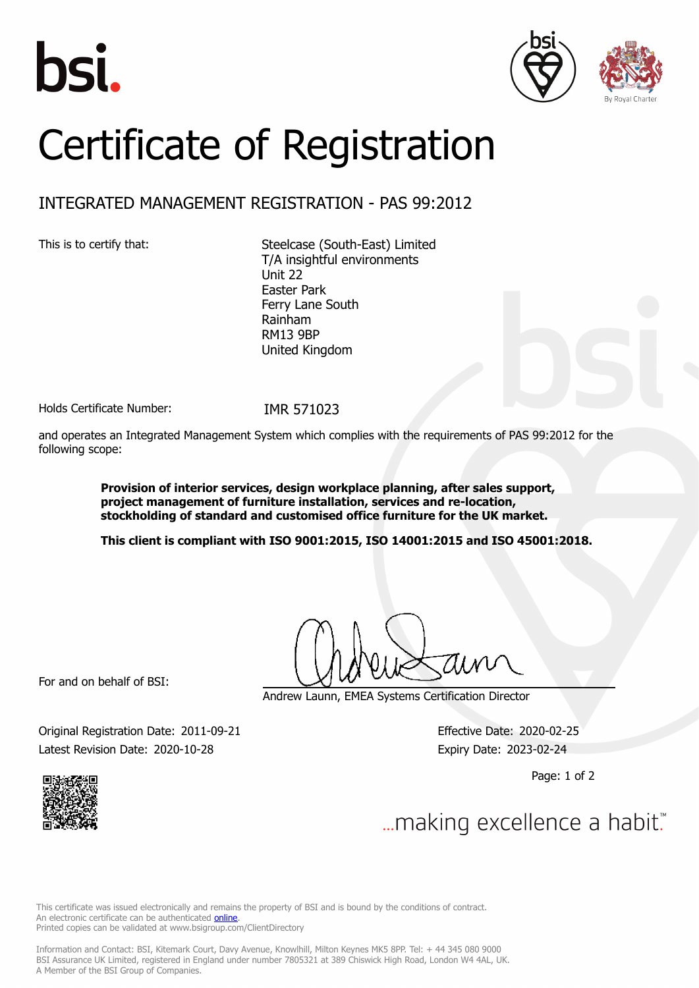





## Certificate of Registration

## INTEGRATED MANAGEMENT REGISTRATION - PAS 99:2012

This is to certify that: Steelcase (South-East) Limited T/A insightful environments Unit 22 Easter Park Ferry Lane South Rainham RM13 9BP United Kingdom

Holds Certificate Number: IMR 571023

and operates an Integrated Management System which complies with the requirements of PAS 99:2012 for the following scope:

> **Provision of interior services, design workplace planning, after sales support, project management of furniture installation, services and re-location, stockholding of standard and customised office furniture for the UK market.**

**This client is compliant with ISO 9001:2015, ISO 14001:2015 and ISO 45001:2018.**

For and on behalf of BSI:

Andrew Launn, EMEA Systems Certification Director

Original Registration Date: 2011-09-21 Effective Date: 2020-02-25 Latest Revision Date: 2020-10-28 Expiry Date: 2023-02-24

Page: 1 of 2



... making excellence a habit."

This certificate was issued electronically and remains the property of BSI and is bound by the conditions of contract. An electronic certificate can be authenticated **[online](https://pgplus.bsigroup.com/CertificateValidation/CertificateValidator.aspx?CertificateNumber=IMR+571023&ReIssueDate=28%2f10%2f2020&Template=uk)**. Printed copies can be validated at www.bsigroup.com/ClientDirectory

Information and Contact: BSI, Kitemark Court, Davy Avenue, Knowlhill, Milton Keynes MK5 8PP. Tel: + 44 345 080 9000 BSI Assurance UK Limited, registered in England under number 7805321 at 389 Chiswick High Road, London W4 4AL, UK. A Member of the BSI Group of Companies.